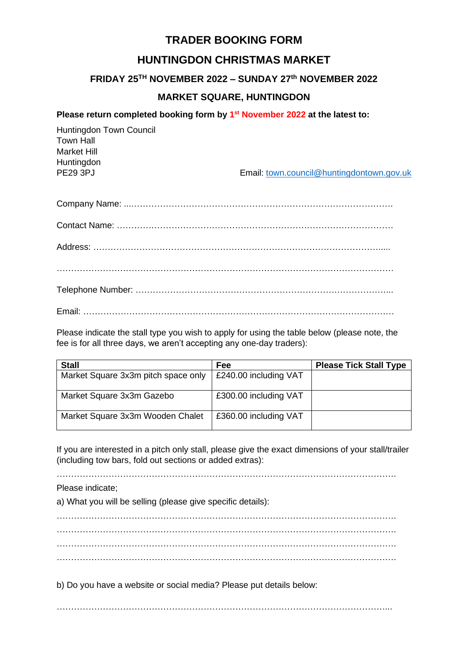# **TRADER BOOKING FORM**

# **HUNTINGDON CHRISTMAS MARKET**

# **FRIDAY 25TH NOVEMBER 2022 – SUNDAY 27 th NOVEMBER 2022**

# **MARKET SQUARE, HUNTINGDON**

### **Please return completed booking form by 1 st November 2022 at the latest to:**

| Huntingdon Town Council |                                           |
|-------------------------|-------------------------------------------|
| <b>Town Hall</b>        |                                           |
| Market Hill             |                                           |
| Huntingdon              |                                           |
| PE <sub>29</sub> 3PJ    | Email: town.council@huntingdontown.gov.uk |
|                         |                                           |

| Fmail: Entrance and the contract of the contract of the contract of the contract of the contract of the contract of the contract of the contract of the contract of the contract of the contract of the contract of the contra |
|--------------------------------------------------------------------------------------------------------------------------------------------------------------------------------------------------------------------------------|

Please indicate the stall type you wish to apply for using the table below (please note, the fee is for all three days, we aren't accepting any one-day traders):

| <b>Stall</b>                        | <b>Fee</b>            | <b>Please Tick Stall Type</b> |
|-------------------------------------|-----------------------|-------------------------------|
| Market Square 3x3m pitch space only | £240.00 including VAT |                               |
| Market Square 3x3m Gazebo           | £300.00 including VAT |                               |
| Market Square 3x3m Wooden Chalet    | £360.00 including VAT |                               |

If you are interested in a pitch only stall, please give the exact dimensions of your stall/trailer (including tow bars, fold out sections or added extras):

……………………………………………………………………………………………………….

### Please indicate;

a) What you will be selling (please give specific details):

………………………………………………………………………………………………………. ………………………………………………………………………………………………………. ………………………………………………………………………………………………………. ……………………………………………………………………………………………………….

b) Do you have a website or social media? Please put details below:

……………………………………………………………………………………………………...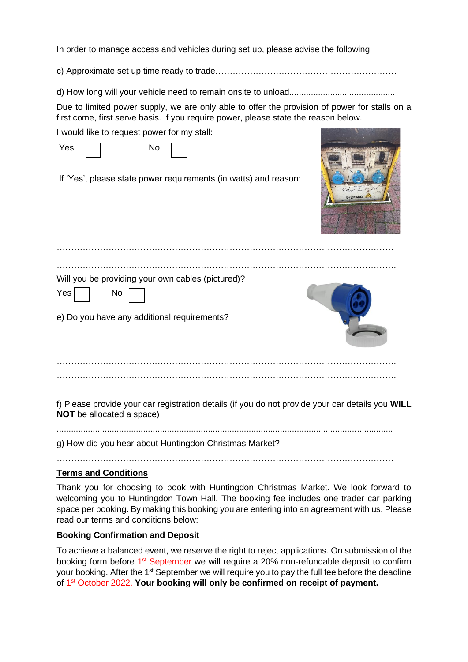In order to manage access and vehicles during set up, please advise the following.

c) Approximate set up time ready to trade………………………………………………………

d) How long will your vehicle need to remain onsite to unload............................................

Due to limited power supply, we are only able to offer the provision of power for stalls on a first come, first serve basis. If you require power, please state the reason below.

I would like to request power for my stall:

| <b>Yes</b> | No |
|------------|----|
|            |    |

If 'Yes', please state power requirements (in watts) and reason:



| Will you be providing your own cables (pictured)?<br>Yes<br><b>No</b><br>e) Do you have any additional requirements? |  |
|----------------------------------------------------------------------------------------------------------------------|--|
|                                                                                                                      |  |
|                                                                                                                      |  |

……………………………………………………………………………………………………….

f) Please provide your car registration details (if you do not provide your car details you **WILL NOT** be allocated a space)

............................................................................................................................................

g) How did you hear about Huntingdon Christmas Market?

………………………………………………………………………………………………………

## **Terms and Conditions**

Thank you for choosing to book with Huntingdon Christmas Market. We look forward to welcoming you to Huntingdon Town Hall. The booking fee includes one trader car parking space per booking. By making this booking you are entering into an agreement with us. Please read our terms and conditions below:

## **Booking Confirmation and Deposit**

To achieve a balanced event, we reserve the right to reject applications. On submission of the booking form before 1<sup>st</sup> September we will require a 20% non-refundable deposit to confirm your booking. After the 1<sup>st</sup> September we will require you to pay the full fee before the deadline of 1<sup>st</sup> October 2022. Your booking will only be confirmed on receipt of payment.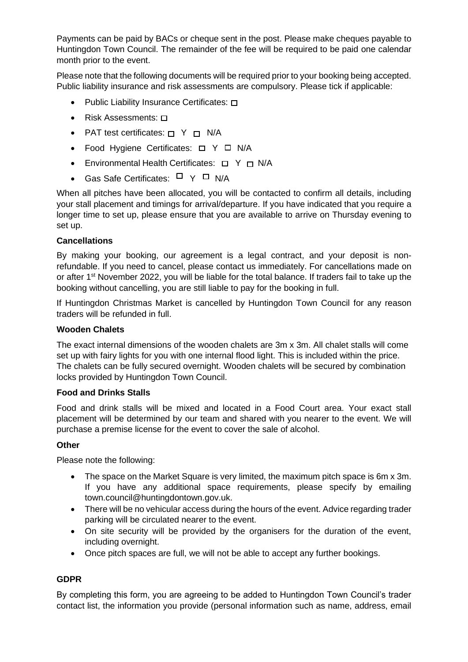Payments can be paid by BACs or cheque sent in the post. Please make cheques payable to Huntingdon Town Council. The remainder of the fee will be required to be paid one calendar month prior to the event.

Please note that the following documents will be required prior to your booking being accepted. Public liability insurance and risk assessments are compulsory. Please tick if applicable:

- Public Liability Insurance Certificates:  $\square$
- Risk Assessments:  $\Box$
- PAT test certificates:  $\Box$  Y  $\Box$  N/A
- Food Hygiene Certificates:  $\Box$  Y  $\Box$  N/A
- Environmental Health Certificates:  $\Box$  Y  $\Box$  N/A
- Gas Safe Certificates:  $\Box$  Y  $\Box$  N/A

When all pitches have been allocated, you will be contacted to confirm all details, including your stall placement and timings for arrival/departure. If you have indicated that you require a longer time to set up, please ensure that you are available to arrive on Thursday evening to set up.

#### **Cancellations**

By making your booking, our agreement is a legal contract, and your deposit is nonrefundable. If you need to cancel, please contact us immediately. For cancellations made on or after 1<sup>st</sup> November 2022, you will be liable for the total balance. If traders fail to take up the booking without cancelling, you are still liable to pay for the booking in full.

If Huntingdon Christmas Market is cancelled by Huntingdon Town Council for any reason traders will be refunded in full.

#### **Wooden Chalets**

The exact internal dimensions of the wooden chalets are 3m x 3m. All chalet stalls will come set up with fairy lights for you with one internal flood light. This is included within the price. The chalets can be fully secured overnight. Wooden chalets will be secured by combination locks provided by Huntingdon Town Council.

#### **Food and Drinks Stalls**

Food and drink stalls will be mixed and located in a Food Court area. Your exact stall placement will be determined by our team and shared with you nearer to the event. We will purchase a premise license for the event to cover the sale of alcohol.

#### **Other**

Please note the following:

- The space on the Market Square is very limited, the maximum pitch space is 6m x 3m. If you have any additional space requirements, please specify by emailing town.council@huntingdontown.gov.uk.
- There will be no vehicular access during the hours of the event. Advice regarding trader parking will be circulated nearer to the event.
- On site security will be provided by the organisers for the duration of the event, including overnight.
- Once pitch spaces are full, we will not be able to accept any further bookings.

### **GDPR**

By completing this form, you are agreeing to be added to Huntingdon Town Council's trader contact list, the information you provide (personal information such as name, address, email